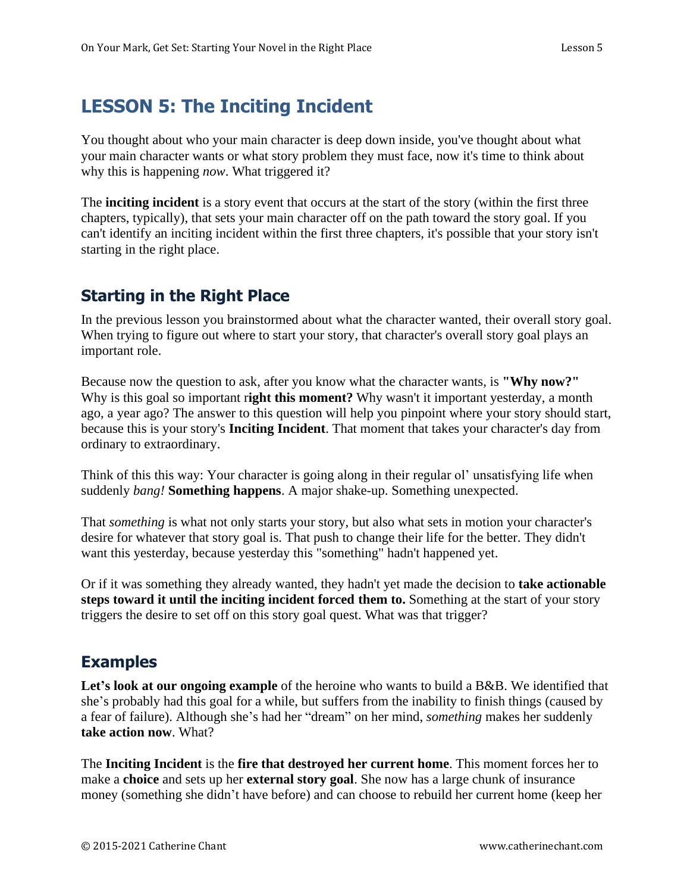# **LESSON 5: The Inciting Incident**

You thought about who your main character is deep down inside, you've thought about what your main character wants or what story problem they must face, now it's time to think about why this is happening *now*. What triggered it?

The **inciting incident** is a story event that occurs at the start of the story (within the first three chapters, typically), that sets your main character off on the path toward the story goal. If you can't identify an inciting incident within the first three chapters, it's possible that your story isn't starting in the right place.

### **Starting in the Right Place**

In the previous lesson you brainstormed about what the character wanted, their overall story goal. When trying to figure out where to start your story, that character's overall story goal plays an important role.

Because now the question to ask, after you know what the character wants, is **"Why now?"** Why is this goal so important r**ight this moment?** Why wasn't it important yesterday, a month ago, a year ago? The answer to this question will help you pinpoint where your story should start, because this is your story's **Inciting Incident**. That moment that takes your character's day from ordinary to extraordinary.

Think of this this way: Your character is going along in their regular ol' unsatisfying life when suddenly *bang!* **Something happens**. A major shake-up. Something unexpected.

That *something* is what not only starts your story, but also what sets in motion your character's desire for whatever that story goal is. That push to change their life for the better. They didn't want this yesterday, because yesterday this "something" hadn't happened yet.

Or if it was something they already wanted, they hadn't yet made the decision to **take actionable steps toward it until the inciting incident forced them to.** Something at the start of your story triggers the desire to set off on this story goal quest. What was that trigger?

## **Examples**

Let's look at our ongoing example of the heroine who wants to build a B&B. We identified that she's probably had this goal for a while, but suffers from the inability to finish things (caused by a fear of failure). Although she's had her "dream" on her mind, *something* makes her suddenly **take action now**. What?

The **Inciting Incident** is the **fire that destroyed her current home**. This moment forces her to make a **choice** and sets up her **external story goal**. She now has a large chunk of insurance money (something she didn't have before) and can choose to rebuild her current home (keep her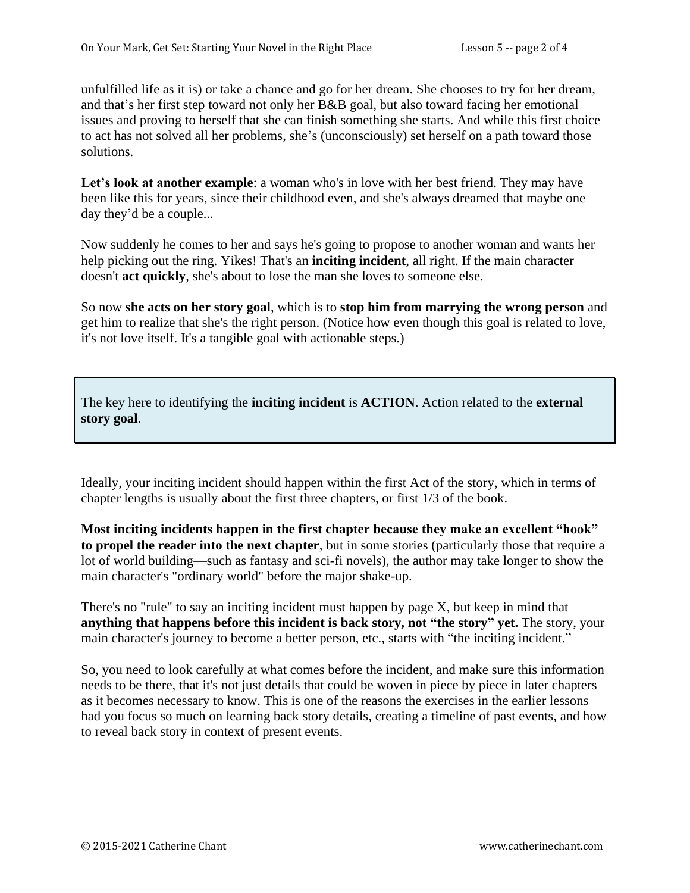unfulfilled life as it is) or take a chance and go for her dream. She chooses to try for her dream, and that's her first step toward not only her B&B goal, but also toward facing her emotional issues and proving to herself that she can finish something she starts. And while this first choice to act has not solved all her problems, she's (unconsciously) set herself on a path toward those solutions.

Let's look at another **example**: a woman who's in love with her best friend. They may have been like this for years, since their childhood even, and she's always dreamed that maybe one day they'd be a couple...

Now suddenly he comes to her and says he's going to propose to another woman and wants her help picking out the ring. Yikes! That's an **inciting incident**, all right. If the main character doesn't **act quickly**, she's about to lose the man she loves to someone else.

So now **she acts on her story goal**, which is to **stop him from marrying the wrong person** and get him to realize that she's the right person. (Notice how even though this goal is related to love, it's not love itself. It's a tangible goal with actionable steps.)

The key here to identifying the **inciting incident** is **ACTION**. Action related to the **external story goal**.

Ideally, your inciting incident should happen within the first Act of the story, which in terms of chapter lengths is usually about the first three chapters, or first 1/3 of the book.

**Most inciting incidents happen in the first chapter because they make an excellent "hook" to propel the reader into the next chapter**, but in some stories (particularly those that require a lot of world building—such as fantasy and sci-fi novels), the author may take longer to show the main character's "ordinary world" before the major shake-up.

There's no "rule" to say an inciting incident must happen by page X, but keep in mind that **anything that happens before this incident is back story, not "the story" yet.** The story, your main character's journey to become a better person, etc., starts with "the inciting incident."

So, you need to look carefully at what comes before the incident, and make sure this information needs to be there, that it's not just details that could be woven in piece by piece in later chapters as it becomes necessary to know. This is one of the reasons the exercises in the earlier lessons had you focus so much on learning back story details, creating a timeline of past events, and how to reveal back story in context of present events.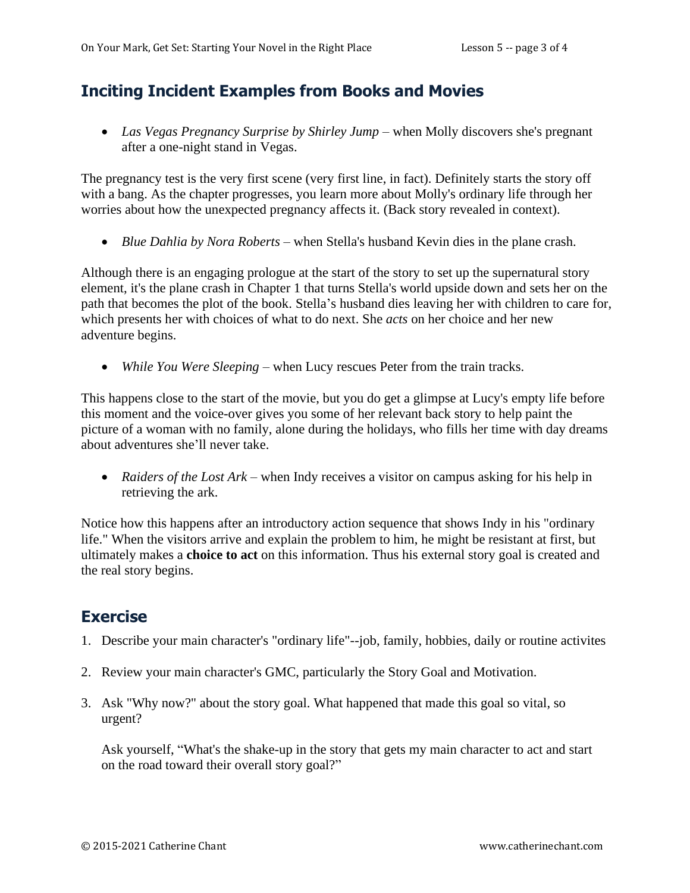### **Inciting Incident Examples from Books and Movies**

• *Las Vegas Pregnancy Surprise by Shirley Jump* – when Molly discovers she's pregnant after a one-night stand in Vegas.

The pregnancy test is the very first scene (very first line, in fact). Definitely starts the story off with a bang. As the chapter progresses, you learn more about Molly's ordinary life through her worries about how the unexpected pregnancy affects it. (Back story revealed in context).

• *Blue Dahlia by Nora Roberts* – when Stella's husband Kevin dies in the plane crash.

Although there is an engaging prologue at the start of the story to set up the supernatural story element, it's the plane crash in Chapter 1 that turns Stella's world upside down and sets her on the path that becomes the plot of the book. Stella's husband dies leaving her with children to care for, which presents her with choices of what to do next. She *acts* on her choice and her new adventure begins.

• *While You Were Sleeping* – when Lucy rescues Peter from the train tracks.

This happens close to the start of the movie, but you do get a glimpse at Lucy's empty life before this moment and the voice-over gives you some of her relevant back story to help paint the picture of a woman with no family, alone during the holidays, who fills her time with day dreams about adventures she'll never take.

• *Raiders of the Lost Ark* – when Indy receives a visitor on campus asking for his help in retrieving the ark.

Notice how this happens after an introductory action sequence that shows Indy in his "ordinary life." When the visitors arrive and explain the problem to him, he might be resistant at first, but ultimately makes a **choice to act** on this information. Thus his external story goal is created and the real story begins.

### **Exercise**

- 1. Describe your main character's "ordinary life"--job, family, hobbies, daily or routine activites
- 2. Review your main character's GMC, particularly the Story Goal and Motivation.
- 3. Ask "Why now?" about the story goal. What happened that made this goal so vital, so urgent?

Ask yourself, "What's the shake-up in the story that gets my main character to act and start on the road toward their overall story goal?"